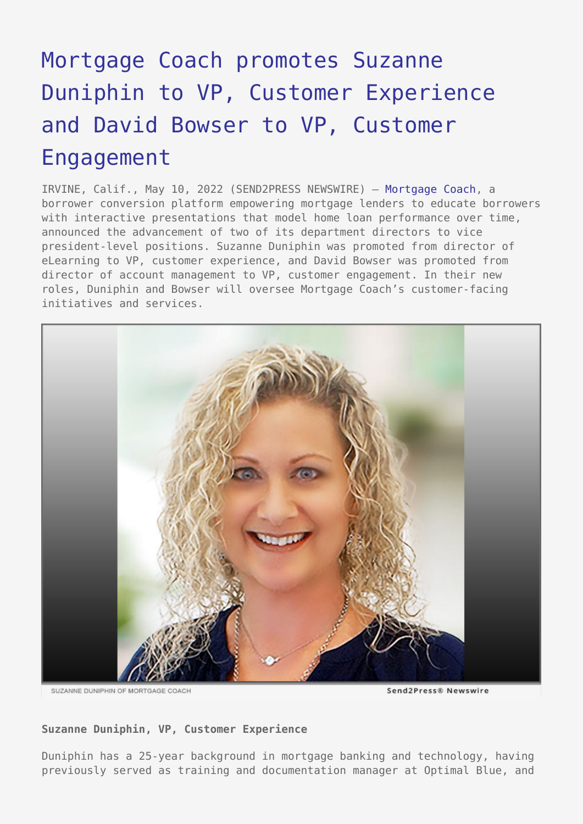## [Mortgage Coach promotes Suzanne](https://www.send2press.com/wire/mortgage-coach-promotes-suzanne-duniphin-to-vp-customer-experience-and-david-bowser-to-vp-customer-engagement/) [Duniphin to VP, Customer Experience](https://www.send2press.com/wire/mortgage-coach-promotes-suzanne-duniphin-to-vp-customer-experience-and-david-bowser-to-vp-customer-engagement/) [and David Bowser to VP, Customer](https://www.send2press.com/wire/mortgage-coach-promotes-suzanne-duniphin-to-vp-customer-experience-and-david-bowser-to-vp-customer-engagement/) [Engagement](https://www.send2press.com/wire/mortgage-coach-promotes-suzanne-duniphin-to-vp-customer-experience-and-david-bowser-to-vp-customer-engagement/)

IRVINE, Calif., May 10, 2022 (SEND2PRESS NEWSWIRE) — [Mortgage Coach](https://www.mortgagecoach.com/), a borrower conversion platform empowering mortgage lenders to educate borrowers with interactive presentations that model home loan performance over time, announced the advancement of two of its department directors to vice president-level positions. Suzanne Duniphin was promoted from director of eLearning to VP, customer experience, and David Bowser was promoted from director of account management to VP, customer engagement. In their new roles, Duniphin and Bowser will oversee Mortgage Coach's customer-facing initiatives and services.



SUZANNE DUNIPHIN OF MORTGAGE COACH

## **Suzanne Duniphin, VP, Customer Experience**

Duniphin has a 25-year background in mortgage banking and technology, having previously served as training and documentation manager at Optimal Blue, and

Send2Press® Newswire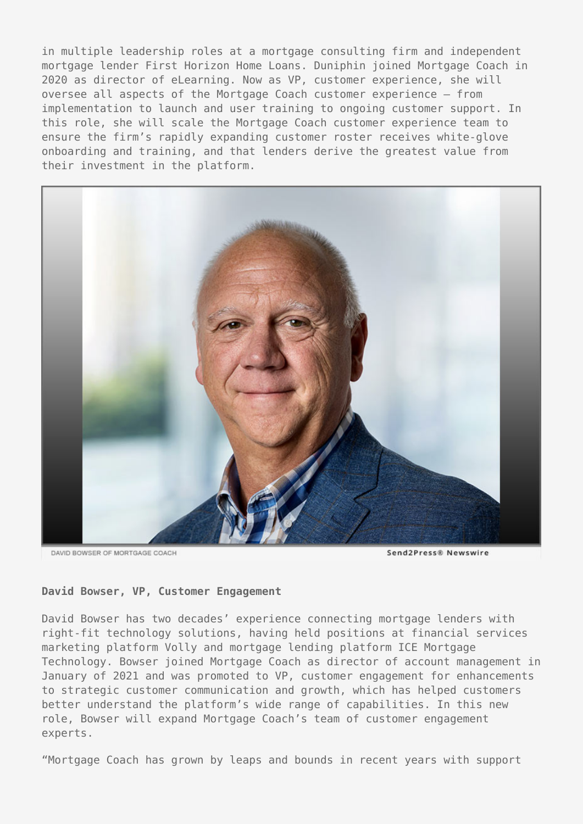in multiple leadership roles at a mortgage consulting firm and independent mortgage lender First Horizon Home Loans. Duniphin joined Mortgage Coach in 2020 as director of eLearning. Now as VP, customer experience, she will oversee all aspects of the Mortgage Coach customer experience — from implementation to launch and user training to ongoing customer support. In this role, she will scale the Mortgage Coach customer experience team to ensure the firm's rapidly expanding customer roster receives white-glove onboarding and training, and that lenders derive the greatest value from their investment in the platform.



DAVID BOWSER OF MORTGAGE COACH

Send2Press® Newswire

## **David Bowser, VP, Customer Engagement**

David Bowser has two decades' experience connecting mortgage lenders with right-fit technology solutions, having held positions at financial services marketing platform Volly and mortgage lending platform ICE Mortgage Technology. Bowser joined Mortgage Coach as director of account management in January of 2021 and was promoted to VP, customer engagement for enhancements to strategic customer communication and growth, which has helped customers better understand the platform's wide range of capabilities. In this new role, Bowser will expand Mortgage Coach's team of customer engagement experts.

"Mortgage Coach has grown by leaps and bounds in recent years with support